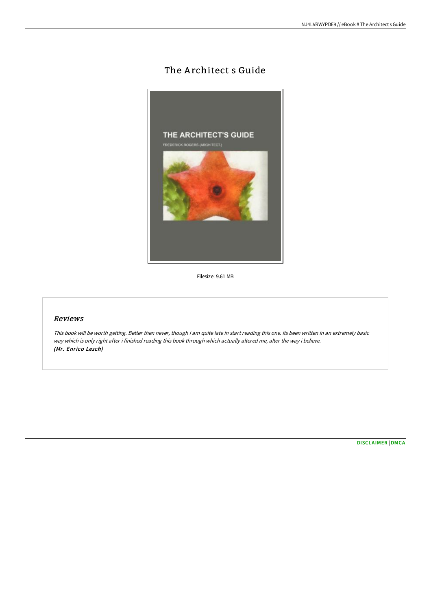## The Architect s Guide



Filesize: 9.61 MB

## Reviews

This book will be worth getting. Better then never, though i am quite late in start reading this one. Its been written in an extremely basic way which is only right after i finished reading this book through which actually altered me, alter the way i believe. (Mr. Enrico Lesch)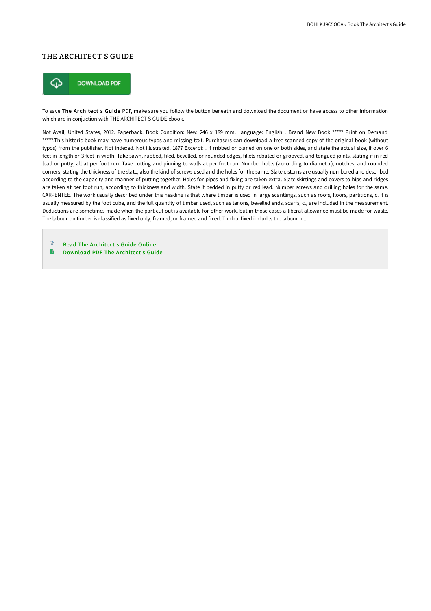## THE ARCHITECT S GUIDE



To save The Architect s Guide PDF, make sure you follow the button beneath and download the document or have access to other information which are in conjuction with THE ARCHITECT S GUIDE ebook.

Not Avail, United States, 2012. Paperback. Book Condition: New. 246 x 189 mm. Language: English . Brand New Book \*\*\*\*\* Print on Demand \*\*\*\*\*.This historic book may have numerous typos and missing text. Purchasers can download a free scanned copy of the original book (without typos) from the publisher. Not indexed. Not illustrated. 1877 Excerpt: . if rnbbed or planed on one or both sides, and state the actual size, if over 6 feet in length or 3 feet in width. Take sawn, rubbed, filed, bevelled, or rounded edges, fillets rebated or grooved, and tongued joints, stating if in red lead or putty, all at per foot run. Take cutting and pinning to walls at per foot run. Number holes (according to diameter), notches, and rounded corners, stating the thickness of the slate, also the kind of screws used and the holes for the same. Slate cisterns are usually numbered and described according to the capacity and manner of putting together. Holes for pipes and fixing are taken extra. Slate skirtings and covers to hips and ridges are taken at per foot run, according to thickness and width. State if bedded in putty or red lead. Number screws and drilling holes for the same. CARPENTEE. The work usually described under this heading is that where timber is used in large scantlings, such as roofs, floors, partitions, c. It is usually measured by the foot cube, and the full quantity of timber used, such as tenons, bevelled ends, scarfs, c., are included in the measurement. Deductions are sometimes made when the part cut out is available for other work, but in those cases a liberal allowance must be made for waste. The labour on timber is classified as fixed only, framed, or framed and fixed. Timber fixed includes the labour in...

 $\mathbb{R}$ Read The Ar [chitect](http://www.bookdirs.com/the-architect-s-guide-paperback.html) s Guide Online B [Download](http://www.bookdirs.com/the-architect-s-guide-paperback.html) PDF The Architect s Guide